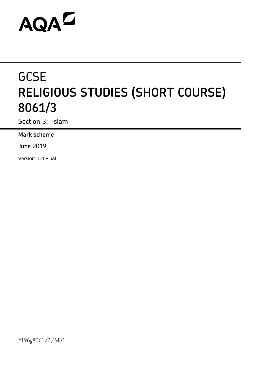# **AQAL**

## **GCSE RELIGIOUS STUDIES (SHORT COURSE) 8061/3**

Section 3: Islam

**Mark scheme**

June 2019

Version: 1.0 Final

\*196g8061/3/MS\*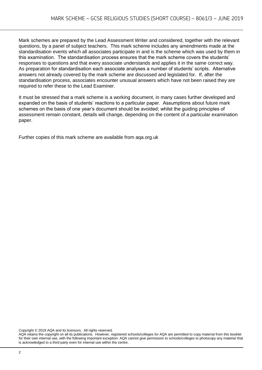Mark schemes are prepared by the Lead Assessment Writer and considered, together with the relevant questions, by a panel of subject teachers. This mark scheme includes any amendments made at the standardisation events which all associates participate in and is the scheme which was used by them in this examination. The standardisation process ensures that the mark scheme covers the students' responses to questions and that every associate understands and applies it in the same correct way. As preparation for standardisation each associate analyses a number of students' scripts. Alternative answers not already covered by the mark scheme are discussed and legislated for. If, after the standardisation process, associates encounter unusual answers which have not been raised they are required to refer these to the Lead Examiner.

It must be stressed that a mark scheme is a working document, in many cases further developed and expanded on the basis of students' reactions to a particular paper. Assumptions about future mark schemes on the basis of one year's document should be avoided; whilst the guiding principles of assessment remain constant, details will change, depending on the content of a particular examination paper.

Further copies of this mark scheme are available from aqa.org.uk

Copyright © 2019 AQA and its licensors. All rights reserved.

AQA retains the copyright on all its publications. However, registered schools/colleges for AQA are permitted to copy material from this booklet for their own internal use, with the following important exception: AQA cannot give permission to schools/colleges to photocopy any material that is acknowledged to a third party even for internal use within the centre.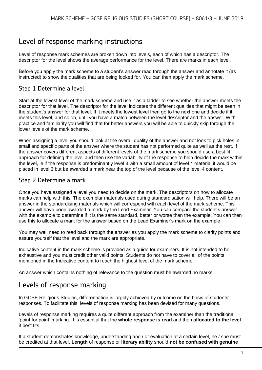#### Level of response marking instructions

Level of response mark schemes are broken down into levels, each of which has a descriptor. The descriptor for the level shows the average performance for the level. There are marks in each level.

Before you apply the mark scheme to a student's answer read through the answer and annotate it (as instructed) to show the qualities that are being looked for. You can then apply the mark scheme.

#### Step 1 Determine a level

Start at the lowest level of the mark scheme and use it as a ladder to see whether the answer meets the descriptor for that level. The descriptor for the level indicates the different qualities that might be seen in the student's answer for that level. If it meets the lowest level then go to the next one and decide if it meets this level, and so on, until you have a match between the level descriptor and the answer. With practice and familiarity you will find that for better answers you will be able to quickly skip through the lower levels of the mark scheme.

When assigning a level you should look at the overall quality of the answer and not look to pick holes in small and specific parts of the answer where the student has not performed quite as well as the rest. If the answer covers different aspects of different levels of the mark scheme you should use a best fit approach for defining the level and then use the variability of the response to help decide the mark within the level, ie if the response is predominantly level 3 with a small amount of level 4 material it would be placed in level 3 but be awarded a mark near the top of the level because of the level 4 content.

#### Step 2 Determine a mark

Once you have assigned a level you need to decide on the mark. The descriptors on how to allocate marks can help with this. The exemplar materials used during standardisation will help. There will be an answer in the standardising materials which will correspond with each level of the mark scheme. This answer will have been awarded a mark by the Lead Examiner. You can compare the student's answer with the example to determine if it is the same standard, better or worse than the example. You can then use this to allocate a mark for the answer based on the Lead Examiner's mark on the example.

You may well need to read back through the answer as you apply the mark scheme to clarify points and assure yourself that the level and the mark are appropriate.

Indicative content in the mark scheme is provided as a guide for examiners. It is not intended to be exhaustive and you must credit other valid points. Students do not have to cover all of the points mentioned in the Indicative content to reach the highest level of the mark scheme.

An answer which contains nothing of relevance to the question must be awarded no marks.

#### Levels of response marking

In GCSE Religious Studies, differentiation is largely achieved by outcome on the basis of students' responses. To facilitate this, levels of response marking has been devised for many questions.

Levels of response marking requires a quite different approach from the examiner than the traditional 'point for point' marking. It is essential that the **whole response is read** and then **allocated to the level**  it best fits.

If a student demonstrates knowledge, understanding and / or evaluation at a certain level, he / she must be credited at that level. **Length** of response or **literary ability** should **not be confused with genuine**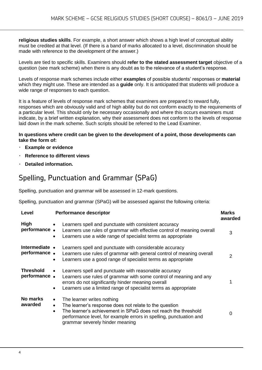**religious studies skills**. For example, a short answer which shows a high level of conceptual ability must be credited at that level. (If there is a band of marks allocated to a level, discrimination should be made with reference to the development of the answer.)

Levels are tied to specific skills. Examiners should **refer to the stated assessment target** objective of a question (see mark scheme) when there is any doubt as to the relevance of a student's response.

Levels of response mark schemes include either **examples** of possible students' responses or **material**  which they might use. These are intended as a **guide** only. It is anticipated that students will produce a wide range of responses to each question.

It is a feature of levels of response mark schemes that examiners are prepared to reward fully, responses which are obviously valid and of high ability but do not conform exactly to the requirements of a particular level. This should only be necessary occasionally and where this occurs examiners must indicate, by a brief written explanation, why their assessment does not conform to the levels of response laid down in the mark scheme. Such scripts should be referred to the Lead Examiner.

#### **In questions where credit can be given to the development of a point, those developments can take the form of:**

- **Example or evidence**
- **Reference to different views**
- **Detailed information.**

### Spelling, Punctuation and Grammar (SPaG)

Spelling, punctuation and grammar will be assessed in 12-mark questions.

Spelling, punctuation and grammar (SPaG) will be assessed against the following criteria:

| Level                            | <b>Performance descriptor</b>                                                                                                                                                                                                                                                                          | <b>Marks</b><br>awarded |
|----------------------------------|--------------------------------------------------------------------------------------------------------------------------------------------------------------------------------------------------------------------------------------------------------------------------------------------------------|-------------------------|
| High<br>performance.             | Learners spell and punctuate with consistent accuracy<br>$\bullet$<br>Learners use rules of grammar with effective control of meaning overall<br>Learners use a wide range of specialist terms as appropriate<br>$\bullet$                                                                             | 3                       |
| Intermediate •<br>performance.   | Learners spell and punctuate with considerable accuracy<br>Learners use rules of grammar with general control of meaning overall<br>Learners use a good range of specialist terms as appropriate<br>$\bullet$                                                                                          | 2                       |
| <b>Threshold</b><br>performance. | Learners spell and punctuate with reasonable accuracy<br>$\bullet$<br>Learners use rules of grammar with some control of meaning and any<br>errors do not significantly hinder meaning overall<br>Learners use a limited range of specialist terms as appropriate<br>$\bullet$                         |                         |
| No marks<br>awarded              | The learner writes nothing<br>$\bullet$<br>The learner's response does not relate to the question<br>$\bullet$<br>The learner's achievement in SPaG does not reach the threshold<br>$\bullet$<br>performance level, for example errors in spelling, punctuation and<br>grammar severely hinder meaning | 0                       |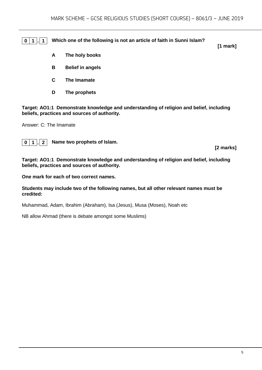**0 1 . 1 Which one of the following is not an article of faith in Sunni Islam?**

**[1 mark]**

- **A The holy books**
- **B Belief in angels**
- **C The Imamate**
- **D The prophets**

**Target: AO1:1 Demonstrate knowledge and understanding of religion and belief, including beliefs, practices and sources of authority.**

Answer: C: The Imamate



**0 1 . 2 Name two prophets of Islam.**

**[2 marks]**

**Target: AO1:1 Demonstrate knowledge and understanding of religion and belief, including beliefs, practices and sources of authority.**

**One mark for each of two correct names.** 

**Students may include two of the following names, but all other relevant names must be credited:** 

Muhammad, Adam, Ibrahim (Abraham), Isa (Jesus), Musa (Moses), Noah etc

NB allow Ahmad (there is debate amongst some Muslims)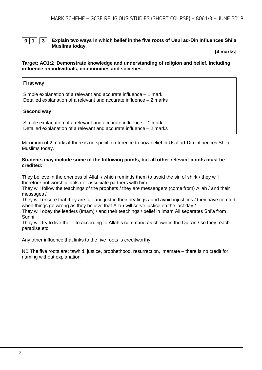#### **0 1 . 3 Explain two ways in which belief in the five roots of Usul ad-Din influences Shi'a Muslims today.**

#### **[4 marks]**

#### **Target: AO1:2 Demonstrate knowledge and understanding of religion and belief, including influence on individuals, communities and societies.**

#### **First way**

Simple explanation of a relevant and accurate influence – 1 mark Detailed explanation of a relevant and accurate influence – 2 marks

#### **Second way**

Simple explanation of a relevant and accurate influence – 1 mark Detailed explanation of a relevant and accurate influence – 2 marks

Maximum of 2 marks if there is no specific reference to how belief in Usul ad-Din influences Shi'a Muslims today.

#### **Students may include some of the following points, but all other relevant points must be credited:**

They believe in the oneness of Allah / which reminds them to avoid the sin of shirk / they will therefore not worship idols / or associate partners with him.

They will follow the teachings of the prophets / they are messengers (come from) Allah / and their messages /

They will ensure that they are fair and just in their dealings / and avoid injustices / they have comfort when things go wrong as they believe that Allah will serve justice on the last day /

They will obey the leaders (Imam) / and their teachings / belief in Imam Ali separates Shi'a from Sunni

They will try to live their life according to Allah's command as shown in the Qu'ran / so they reach paradise etc.

Any other influence that links to the five roots is creditworthy.

NB The five roots are: tawhid, justice, prophethood, resurrection, imamate – there is no credit for naming without explanation.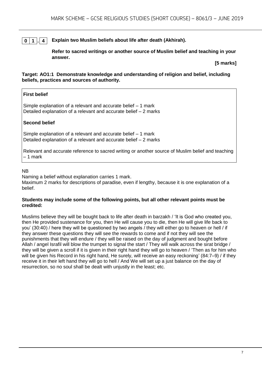#### **0 1 . 4 Explain two Muslim beliefs about life after death (Akhirah).**

**Refer to sacred writings or another source of Muslim belief and teaching in your answer.**

**[5 marks]**

#### **Target: AO1:1 Demonstrate knowledge and understanding of religion and belief, including beliefs, practices and sources of authority.**

#### **First belief**

Simple explanation of a relevant and accurate belief – 1 mark Detailed explanation of a relevant and accurate belief – 2 marks

#### **Second belief**

Simple explanation of a relevant and accurate belief – 1 mark Detailed explanation of a relevant and accurate belief – 2 marks

Relevant and accurate reference to sacred writing or another source of Muslim belief and teaching – 1 mark

#### NB

Naming a belief without explanation carries 1 mark.

Maximum 2 marks for descriptions of paradise, even if lengthy, because it is one explanation of a belief.

#### **Students may include some of the following points, but all other relevant points must be credited:**

Muslims believe they will be bought back to life after death in barzakh / 'It is God who created you, then He provided sustenance for you, then He will cause you to die, then He will give life back to you' (30:40) / here they will be questioned by two angels / they will either go to heaven or hell / if they answer these questions they will see the rewards to come and if not they will see the punishments that they will endure / they will be raised on the day of judgment and bought before Allah / angel Israfil will blow the trumpet to signal the start / They will walk across the sirat bridge / they will be given a scroll if it is given in their right hand they will go to heaven / 'Then as for him who will be given his Record in his right hand, He surely, will receive an easy reckoning' (84:7–9) / if they receive it in their left hand they will go to hell / And We will set up a just balance on the day of resurrection, so no soul shall be dealt with unjustly in the least; etc.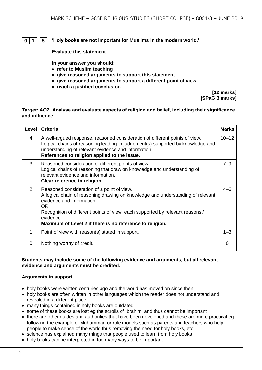#### **0 1 . 5 'Holy books are not important for Muslims in the modern world.'**

**Evaluate this statement.** 

**In your answer you should:**

- **refer to Muslim teaching**
- **give reasoned arguments to support this statement**
- **give reasoned arguments to support a different point of view**
- **reach a justified conclusion.**

**[12 marks] [SPaG 3 marks]**

#### **Target: AO2 Analyse and evaluate aspects of religion and belief, including their significance and influence.**

| Level | <b>Criteria</b>                                                                                                                                                                                                                                                                                                                   | <b>Marks</b> |
|-------|-----------------------------------------------------------------------------------------------------------------------------------------------------------------------------------------------------------------------------------------------------------------------------------------------------------------------------------|--------------|
| 4     | A well-argued response, reasoned consideration of different points of view.<br>Logical chains of reasoning leading to judgement(s) supported by knowledge and<br>understanding of relevant evidence and information.<br>References to religion applied to the issue.                                                              | $10 - 12$    |
| 3     | Reasoned consideration of different points of view.<br>Logical chains of reasoning that draw on knowledge and understanding of<br>relevant evidence and information.<br>Clear reference to religion.                                                                                                                              | $7 - 9$      |
| 2     | Reasoned consideration of a point of view.<br>A logical chain of reasoning drawing on knowledge and understanding of relevant<br>evidence and information.<br><b>OR</b><br>Recognition of different points of view, each supported by relevant reasons /<br>evidence.<br>Maximum of Level 2 if there is no reference to religion. | $4 - 6$      |
| 1     | Point of view with reason(s) stated in support.                                                                                                                                                                                                                                                                                   | $1 - 3$      |
| 0     | Nothing worthy of credit.                                                                                                                                                                                                                                                                                                         | 0            |

#### **Students may include some of the following evidence and arguments, but all relevant evidence and arguments must be credited:**

#### **Arguments in support**

- holy books were written centuries ago and the world has moved on since then
- holy books are often written in other languages which the reader does not understand and revealed in a different place
- many things contained in holy books are outdated
- some of these books are lost eg the scrolls of Ibrahim, and thus cannot be important
- there are other guides and authorities that have been developed and these are more practical eg following the example of Muhammad or role models such as parents and teachers who help people to make sense of the world thus removing the need for holy books, etc.
- science has explained many things that people used to learn from holy books
- holy books can be interpreted in too many ways to be important